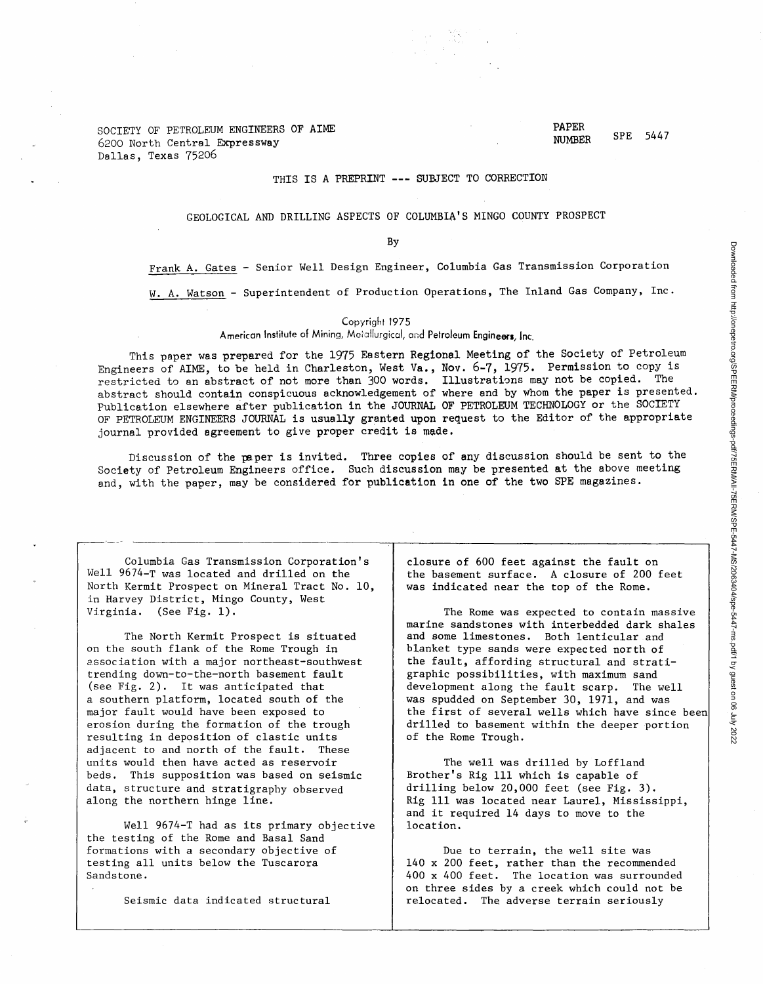SOCIETY OF PETROLEUM ENGINEERS OF AIME 6200 North Central Expressway Dallas, Texas 75206

#### THIS IS A PREPRINT --- SUBJECT TO CORRECTION

### GEOLOGICAL AND DRILLING ASPECTS OF COLUMBIA'S MINGO COUNTY PROSPECT

By

Frank A. Gates - Senior Well Design Engineer, Columbia Gas Transmission Corporation

W. A. Watson - Superintendent of Production Operations, The Inland Gas Company, Inc.

#### Copyright 1975

American Institute of Mining, Metallurgical, and Petroleum Engineers, Inc.

This paper was prepared for the 1975 Eastern Regional Meeting of the Society of Petroleum Engineers of AIME, to be held in Charleston, West Va., Nov. 6-7, 1975. Permission to copy is restricted *ta* an abstract of not more than 300 words. Illustrations may not be copied. The abstract should contain conspicuous acknowledgement of where and by whom the paper is presented. Publication elsewhere after publication in the JOURNAL OF PETROLEUM TECHNOLOGY or the SOCIETY OF PETROLEUM ENGINEERS JOURNAL is usually granted upon request to the Editor of the appropriate journal provided agreement to give proper credit is made.

Discussion of the paper is invited. Three copies of any discussion should be sent to the Society of Petroleum Engineers office. Such discussion may be presented at the above meeting and, with the paper, may be considered for publication in one of the two SPE magazines.

Columbia Gas Transmission Corporation's Well 9674-T was located and drilled on the North Kermit Prospect on Mineral Tract No. 10, in Harvey District, Mingo County, West Virginia. (See Fig. 1).

The North Kermit Prospect is situated on the south flank of the Rome Trough in association with a major northeast-southwest trending down-to-the-north basement fault (see Fig. 2). It was anticipated that a southern platform, located south of the major fault would have been exposed to erosion during the formation of the trough resulting in deposition of clastic units adjacent to and north of the fault. These units would then have acted as reservoir beds. This supposition was based on seismic data, structure and stratigraphy observed along the northern hinge line.

Well 9674-T had as its primary objective the testing of the Rome and Basal Sand formations with a secondary objective of testing all units below the Tuscarora Sandstone.

Seismic data indicated structural

closure of 600 feet against the fault on the basement surface. A closure of 200 feet was indicated near the top of the Rome.

The Rome was expected to contain massive marine sandstones with interbedded dark shales and some limestones. Both lenticular and blanket type sands were expected north of the fault, affording structural and stratigraphic possibilities, with maximum sand development along the fault scarp. The well was spudded on September 30, 1971, and was the first of several wells which have since been drilled to basement within the deeper portion of the Rome Trough.

The well was drilled by Loffland Brother's Rig 111 which is capable of drilling below 20,000 feet (see Fig. 3). Rig 111 was located near Laurel, Mississippi, and it required 14 days to move to the location.

Due to terrain, the well site was 140 x 200 feet, rather than the recommended 400 x 400 feet. The location was surrounded on three sides by a creek which could not be relocated. The adverse terrain seriously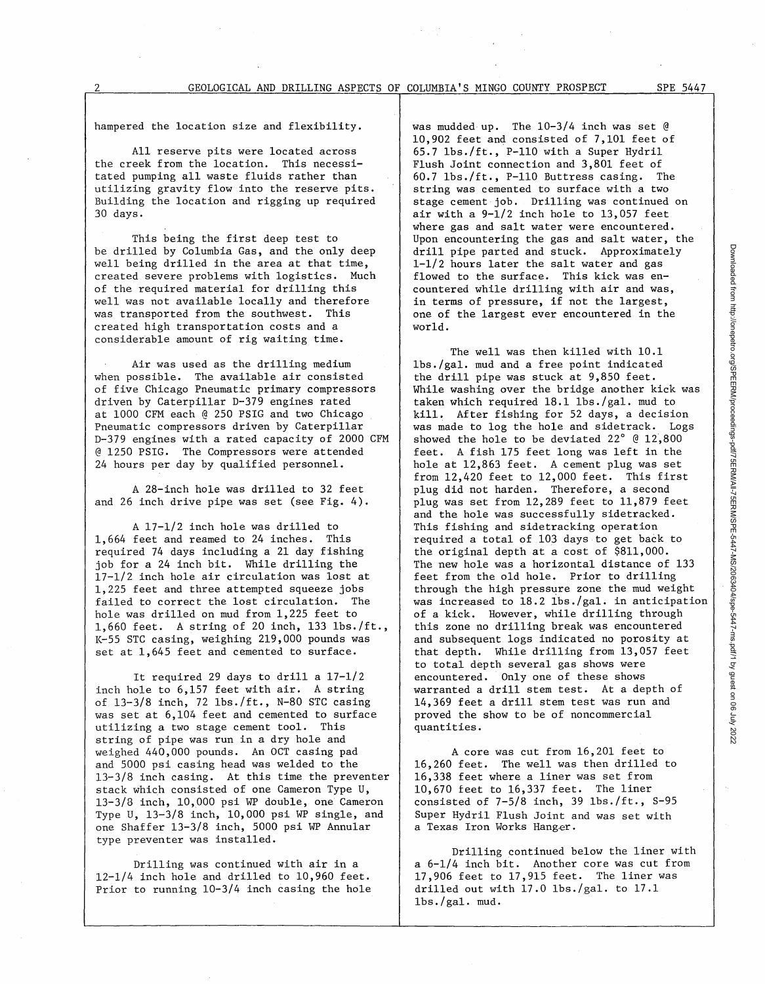hampered the location size and flexibility.

All reserve pits were located across the creek from the location. This necessitated pumping all waste fluids rather than utilizing gravity flow into the reserve pits. Building the location and rigging up required 30 days.

This being the first deep test to be drilled by Columbia Gas, and the only deep well being drilled in the area at that time, created severe problems with logistics. Much of the required material for drilling this well was not available locally and therefore was transported from the southwest. This created high transportation costs and a considerable amount of rig waiting time.

Air was used as the drilling medium when possible. The available air consisted of five Chicago Pneumatic primary compressors driven by Caterpillar D-379 engines rated at 1000 CFM each @ 250 PSIG and two Chicago Pneumatic compressors driven by Caterpillar D-379 engines with a rated capacity of 2000 CFM @ 1250 PSIG. The Compressors were attended 24 hours per day by qualified personnel.

A 28-inch hole was drilled to 32 feet and 26 inch drive pipe was set (see Fig. 4).

A 17-1/2 inch hole was drilled to 1,664 feet and reamed to 24 inches. This required 74 days including a 21 day fishing job for a 24 inch bit. While drilling the 17-1/2 inch hole air circulation was lost at 1,225 feet and three attempted squeeze jobs failed to correct the lost circulation. The hole was drilled on mud from 1,225 feet to 1,660 feet. A string of 20 inch, 133 lbs./ft., K-55 STC casing, weighing 219,000 pounds was set at 1,645 feet and cemented to surface.

It required 29 days to drill a 17-1/2 inch hole to 6,157 feet with air. A string of 13-3/8 inch, 72 lbs./ft., N-80 STC casing was set at 6,104 feet and cemented to surface utilizing a two stage cement tool. This string of pipe was run in a dry hole and weighed 440,000 pounds. An OCT casing pad and 5000 psi casing head was welded to the 13-3/8 inch casing. At this time the preventer stack which consisted of one Cameron Type U, 13-3/8 inch, 10,000 psi WP double, one Cameron Type U, 13-3/8 inch, 10,000 psi WP single, and one Shaffer 13-3/8 inch, 5000 psi WP Annular type preventer was installed.

Drilling was continued with air in a 12-1/4 inch hole and drilled to 10,960 feet. Prior to running 10-3/4 inch casing the hole was mudded up. The 10-3/4 inch was set @ 10,902 feet and consisted of 7,101 feet of  $65.7$  lbs./ft., P-110 with a Super Hydril Flush Joint connection and 3,801 feet of 60.7 lbs./ft., P-110 Buttress casing. The string was cemented to surface with a two stage cement job. Drilling was continued on air with a 9-1/2 inch hole to 13,057 feet where gas and salt water were encountered. Upon encountering the gas and salt water, the drill pipe parted and stuck. Approximately 1-1/2 hours later the salt water and gas flowed to the surface. This kick was encountered while drilling with air and was, in terms of pressure, if not the largest, one of the largest ever encountered in the world.

The well was then killed with 10.1 lbs./gal. mud and a free point indicated the drill pipe was stuck at 9,850 feet. While washing over the bridge another kick was taken which required 18.1 lbs./gal. mud to kill. After fishing for 52 days, a decision was made to log the hole and sidetrack. Logs showed the hole to be deviated  $22^\circ$  @ 12,800 feet. A fish 175 feet long was left in the hole at 12,863 feet. A cement plug was set from 12,420 feet to 12,000 feet. This first plug did not harden. Therefore, a second plug was set from 12,289 feet to 11,879 feet and the hole was successfully sidetracked. This fishing and sidetracking operation required a total of 103 days to get back to the original depth at a cost of \$811,000. The new hole was a horizontal distance of 133 feet from the old hole. Prior to drilling through the high pressure zone the mud weight was increased to 18.2 lbs./gal. in anticipation of a kick. However, while drilling through this zone no drilling break was encountered and subsequent logs indicated no porosity at that depth. While drilling from 13,057 feet to total depth several gas shows were encountered. Only one of these shows warranted a drill stem test. At a depth of 14,369 feet a drill stem test was run and proved the show to be of noncommercial quantities.

A core was cut from 16,201 feet to 16,260 feet. The well was then drilled to 16,338 feet where a liner was set from 10,670 feet to 16,337 feet. The liner consisted of 7-5/8 inch, 39 lbs./ft., S-95 Super Hydril Flush Joint and was set with<br>a Texas Iron Works Hanger.

Drilling continued below the liner with a 6-1/4 inch bit. Another core was cut from 17,906 feet to 17,915 feet. The liner was drilled out with 17.0 lbs./gal. to 17.1  $lbs./gal.$  mud.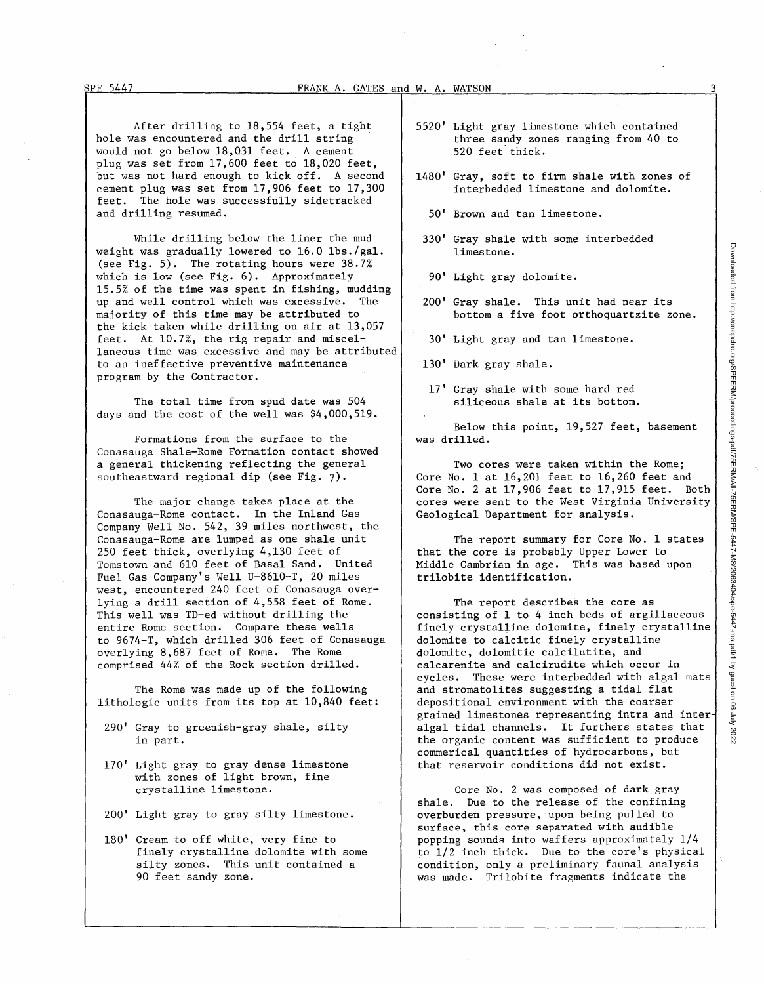After drilling to 18,554 feet, a tight hole was encountered and the drill string would not go below 18,031 feet. A cement plug was set from 17,600 feet to 18,020 feet, but was not hard enough to kick off. A second cement plug was set from 17,906 feet to 17,300 feet. The hole was successfully sidetracked and drilling resumed.

While drilling below the liner the mud weight was gradually lowered to 16.0 lbs./gal. (see Fig. 5). The rotating hours were 38.7% which is low (see Fig. 6). Approximately 15.5% of the time was spent in fishing, mudding up and well control which was excessive. The majority of this time may be attributed to the kick taken while drilling on air at 13,057 feet. At 10.7%, the rig repair and miscellaneous time was excessive and may be attributed to an ineffective preventive maintenance program by the Contractor.

The total time from spud date was 504 days and the cost of the well was \$4,000,519.

Formations from the surface to the Conasauga Shale-Rome Formation contact showed a general thickening reflecting the general southeastward regional dip (see Fig. 7).

The major change takes place at the Conasauga-Rome contact. In the Inland Gas Company Well No. 542, 39 miles northwest, the Conasauga-Rome are lumped as one shale unit 250 feet thick, overlying 4,130 feet of Tomstown and 610 feet of Basal Sand. United Fuel Gas Company's Well U-8610-T, 20 miles west, encountered 240 feet of Conasauga overlying a drill section of 4,558 feet of Rome. This well was TD-ed without drilling the entire Rome section. Compare these wells to 9674-T, which drilled 306 feet of Conasauga overlying 8,687 feet of Rome. The Rome comprised 44% of the Rock section drilled.

The Rome was made up of the following lithologic units from its top at 10,840 feet:

- 290' Gray to greenish-gray shale, silty in part.
- 170' Light gray to gray dense limestone with zones of light brown, fine crystalline limestone.
- 200' Light gray to gray silty limestone.
- 180' Cream to off white, very fine to finely crystalline dolomite with some silty zones. This unit contained a 90 feet sandy zone.
- 5520' Light gray limestone which contained three sandy zones ranging from 40 to 520 feet thick.
- 1480' Gray, soft to firm shale with zones of interbedded limestone and dolomite.
	- SO' Brown and tan limestone.
- 330' Gray shale with some interbedded limestone.
- 90' Light gray dolomite.
- 200' Gray shale. This unit had near its bottom a five foot orthoquartzite zone.
- 30' Light gray and tan limestone.
- 130' Dark gray shale.
- 17' Gray shale with some hard red siliceous shale at its bottom.

Below this point, 19,527 feet, basement was drilled.

Two cores were taken within the Rome; Core No. 1 at 16,201 feet to 16,260 feet and Core No. 2 at 17,906 feet to 17,915 feet. Both cores were sent to the West Virginia University Geological Department for analysis.

The report summary for Core No. 1 states that the core is probably Upper Lower to Middle Cambrian in age. This was based upon trilobite identification.

The report describes the core as consisting of 1 to 4 inch beds of argillaceous finely crystalline dolomite, finely crystalline dolomite to calcitic finely crystalline dolomite, dolomitic calcilutite, and calcarenite and calcirudite which occur in cycles. These were interbedded with algal mats and stromatolites suggesting a tidal flat depositional environment with the coarser grained limestones representing intra and inter algal tidal channels. It furthers states that the organic content was sufficient to produce commerical quantities of hydrocarbons, but that reservoir conditions did not exist.

Core No. 2 was composed of dark gray shale. Due to the release of the confining overburden pressure, upon being pulled to surface, this core separated with audible popping sounds into waffers approximately 1/4 to 1/2 inch thick. Due to the core's physical condition, only a preliminary faunal analysis was made. Trilobite fragments indicate the

3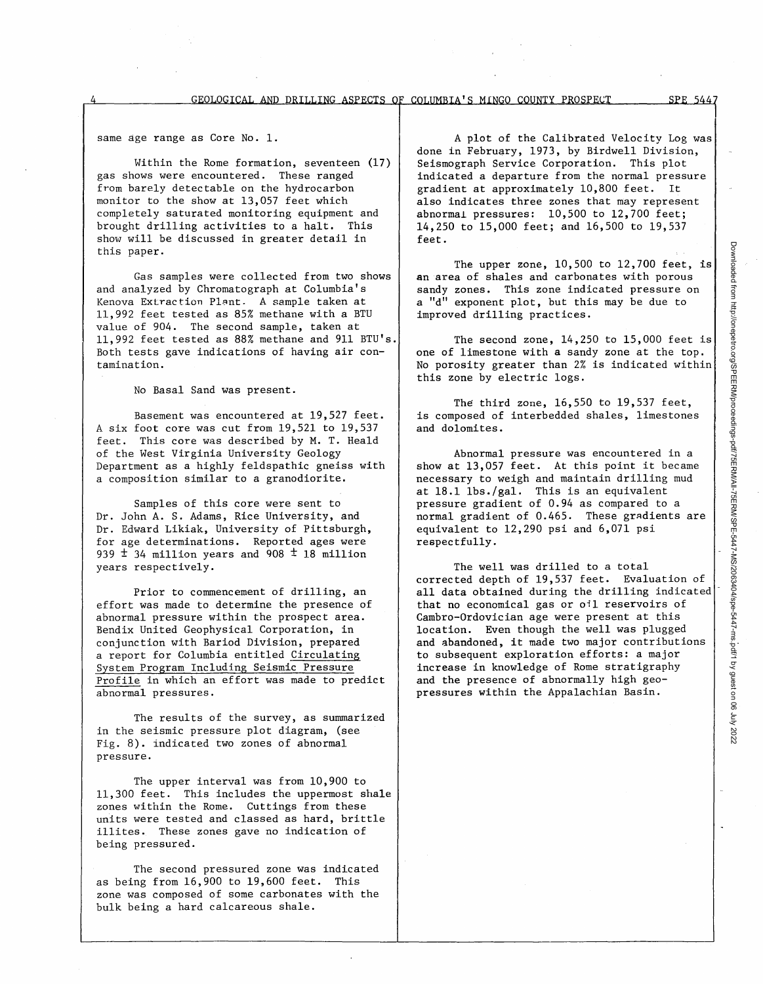same age range as Core No. 1.

Within the Rome formation, seventeen (17) gas shows were encountered. These ranged from barely detectable on the hydrocarbon monitor to the show at 13,057 feet which completely saturated monitoring equipment and brought drilling activities to a halt. This show will be discussed in greater detail in this paper.

Gas samples were collected from two shows and analyzed by Chromatograph at Columbia's Kenova Extraction Plant. A sample taken at 11,992 feet tested as 85% methane with a BTU value of 904. The second sample, taken at 11,992 feet tested as 88% methane and 911 BTU's. Both tests gave indications of having air contamination.

No Basal Sand was present.

Basement was encountered at 19,527 feet. A six foot core was cut from 19,521 to 19,537 feet. This core was described by M. T. Heald of the West Virginia University Geology Department as a highly feldspathic gneiss with a composition similar to a granodiorite.

Samples of this core were sent to Dr. John A. S. Adams, Rice University, and Dr. Edward Likiak, University of Pittsburgh, for age determinations. Reported ages were 939  $\pm$  34 million years and 908  $\pm$  18 million years respectively.

Prior to commencement of drilling, an effort was made to determine the presence of abnormal pressure within the prospect area. Bendix United Geophysical Corporation, in conjunction with Bariod Division, prepared a report for Columbia entitled Circulating System Program Including Seismic Pressure Profile in which an effort was made to predict abnormal pressures.

The results of the survey, as summarized in the seismic pressure plot diagram, (see Fig. 8). indicated two zones of abnormal pressure.

The upper interval was from 10,900 to 11,300 feet. This includes the uppermost shale zones within the Rome. Cuttings from these units were tested and classed as hard, brittle illites. These zones gave no indication of being pressured.

The second pressured zone was indicated as being from 16,900 to 19,600 feet. This zone was composed of some carbonates with the bulk being a hard calcareous shale.

A plot of the Calibrated Velocity Log was done in February, 1973, by Birdwell Division, Seismograph Service Corporation. This plot indicated a departure from the normal pressure gradient at approximately 10,800 feet. It also indicates three zones that may represent abnormal pressures: 10,500 to 12,700 feet; 14,250 to 15,000 feet; and 16,500 to 19,537 feet.

The upper zone, 10,500 to 12,700 feet, is an area of shales and carbonates with porous sandy zones. This zone indicated pressure on a "d" exponent plot, but this may be due to improved drilling practices.

The second zone, 14,250 to 15,000 feet is one of limestone with a sandy zone at the top. No porosity greater than 2% is indicated within this zone by electric logs.

The third zone, 16,550 to 19,537 feet, is composed of interbedded shales, limestones and dolomites.

Abnormal pressure was encountered in a show at 13,057 feet. At this point it became necessary to weigh and maintain drilling mud at 18.1 lbs./gal. This is an equivalent pressure gradient of 0.94 as compared to a normal gradient of 0.465. These gradients are equivalent to 12,290 psi and 6,071 psi respectfully.

The well was drilled to a total corrected depth of 19,537 feet. Evaluation of all data obtained during the drilling indicated that no economical gas or oil reservoirs of Cambro-Ordovician age were present at this location. Even though the well was plugged and abandoned, it made two major contributions to subsequent exploration efforts: a major increase in knowledge of Rome stratigraphy and the presence of abnormally high geopressures within the Appalachian Basin.

SPE 5447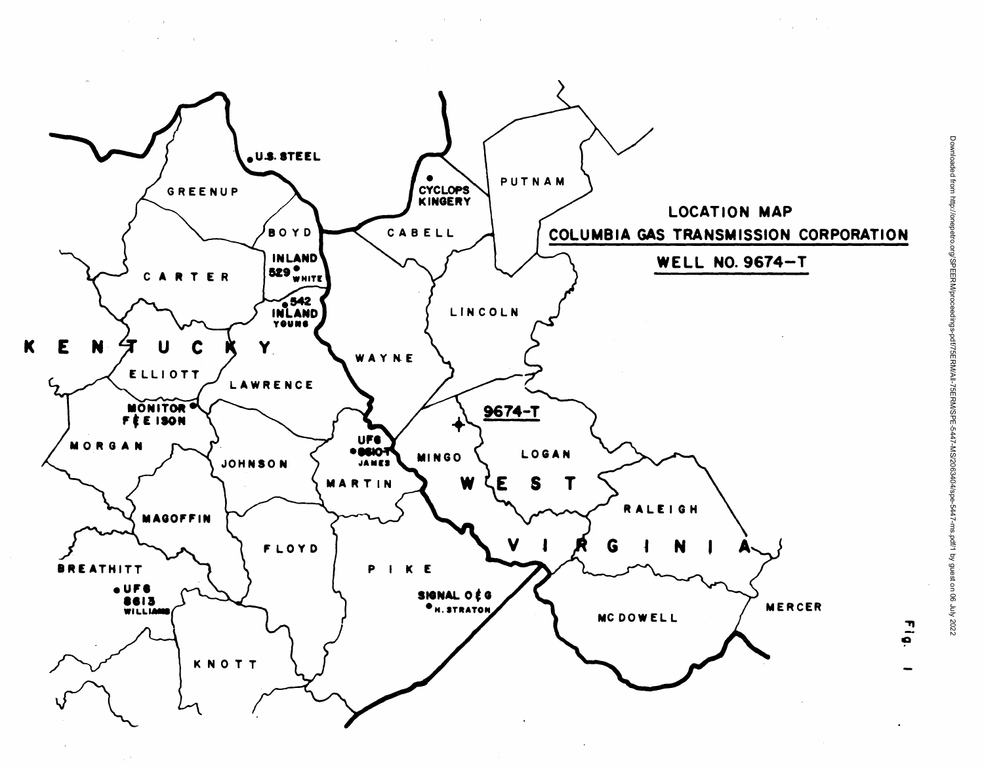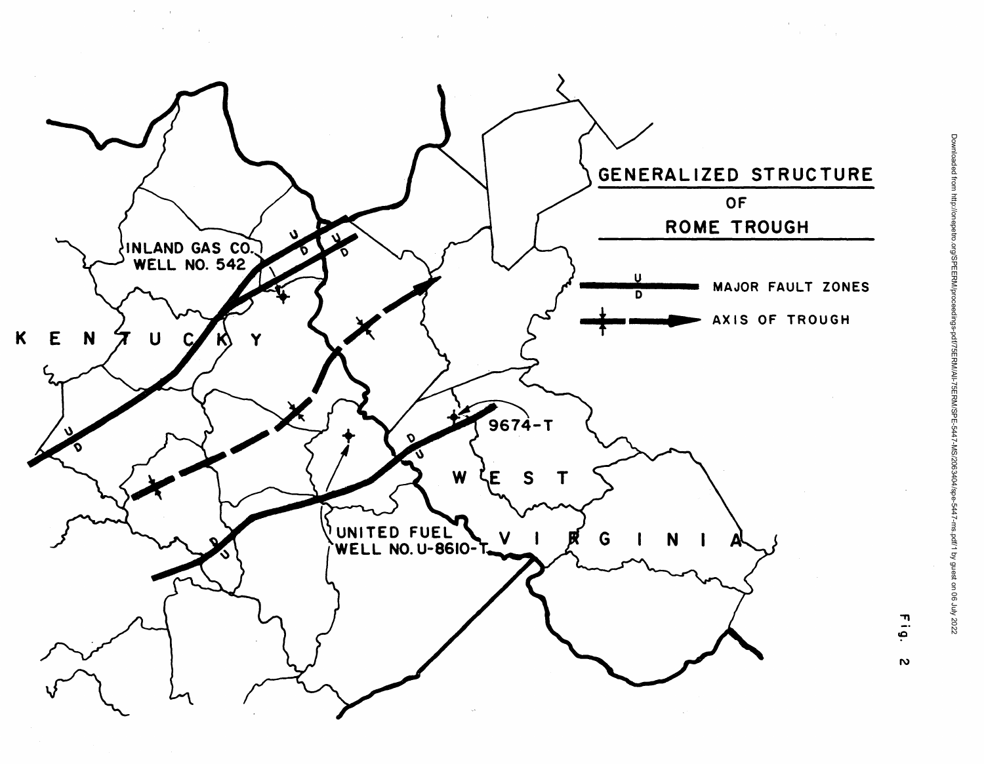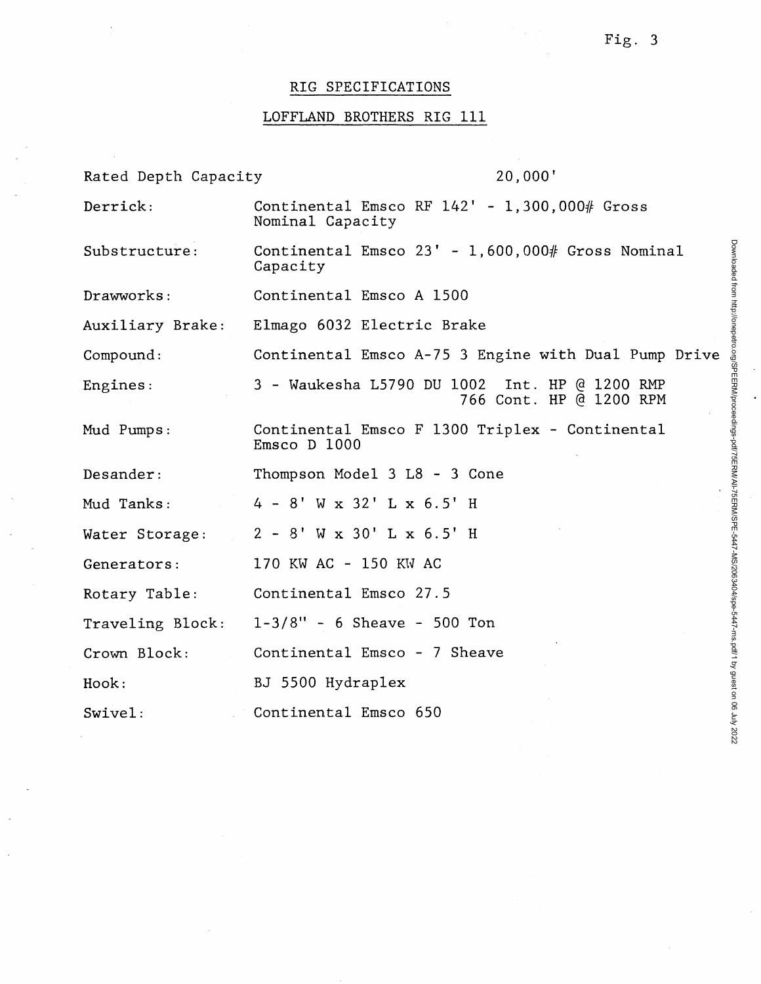# RIG SPECIFICATIONS

# LOFFLAND BROTHERS RIG 111

| Rated Depth Capacity | 20,000'                                                                  |
|----------------------|--------------------------------------------------------------------------|
| Derrick:             | Continental Emsco RF $142' - 1,300,000\#$ Gross<br>Nominal Capacity      |
| Substructure:        | Continental Emsco $23' - 1,600,000\#$ Gross Nominal<br>Capacity          |
| Drawworks:           | Continental Emsco A 1500                                                 |
| Auxiliary Brake:     | Elmago 6032 Electric Brake                                               |
| Compound:            | Continental Emsco A-75 3 Engine with Dual Pump Drive                     |
| Engines:             | 3 - Waukesha L5790 DU 1002 Int. HP @ 1200 RMP<br>766 Cont. HP @ 1200 RPM |
| Mud Pumps:           | Continental Emsco F 1300 Triplex - Continental<br>Emsco D 1000           |
| Desander:            | Thompson Model 3 L8 - 3 Cone                                             |
| Mud Tanks:           | $4 - 8'$ W x 32' L x 6.5' H                                              |
| Water Storage:       | $2 - 8'$ W x 30' L x 6.5' H                                              |
| Generators:          | 170 KW AC - 150 KW AC                                                    |
| Rotary Table:        | Continental Emsco 27.5                                                   |
| Traveling Block:     | $1-3/8" - 6$ Sheave - 500 Ton                                            |
| Crown Block:         | Continental Emsco - 7 Sheave                                             |
| Hook:                | BJ 5500 Hydraplex                                                        |
| $Swive1$ :           | Continental Emsco 650                                                    |

Downloaded from http://onepetro.org/SPEERM/proceedings-pdf/75ERM/AI-75ERM/AS/2063404/spe-5447-ms.pdf/1 by guest on 06 July 2022 Downloaded from http://onepetro.org/SPEERM/proceedings-pdf/75ERM/All-75ERM/SPE-5447-MS/2063404/spe-5447-ms.pdf/1 by guest on 06 July 2022

 $\ddot{\phantom{0}}$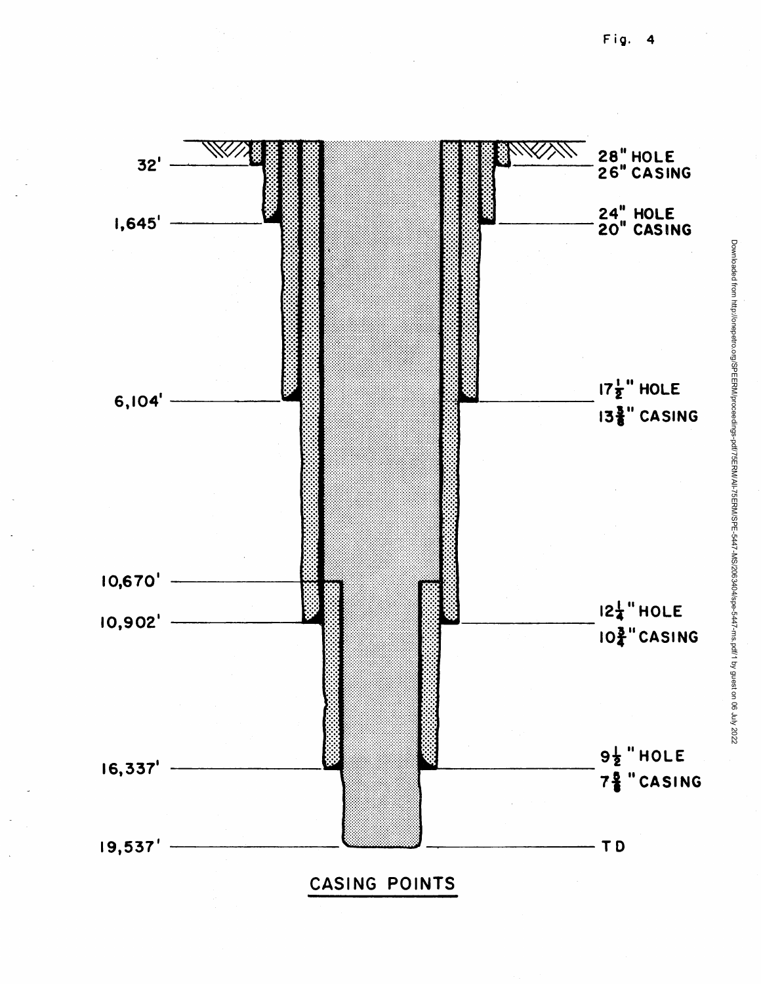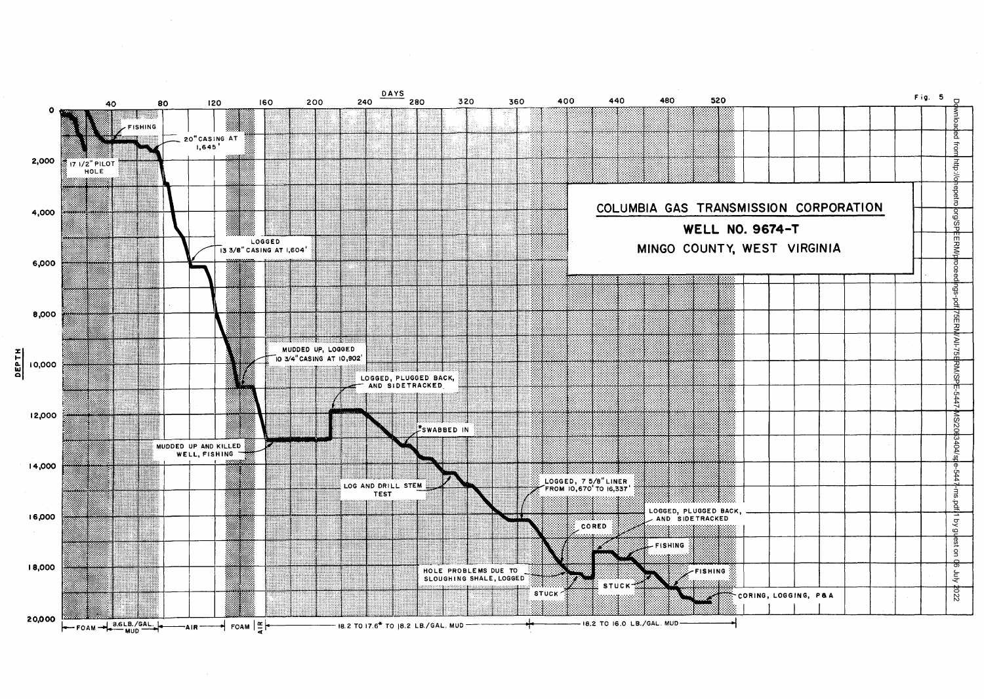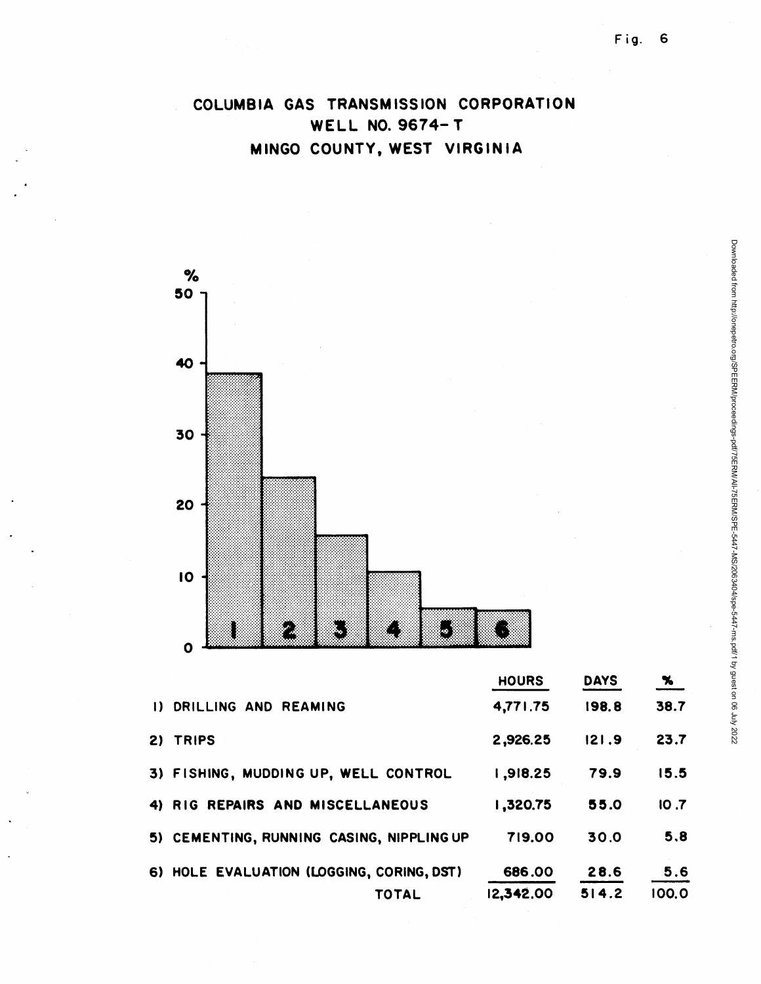# COLUMBIA GAS TRANSMISSION CORPORATION WELL NO. 9674- T MINGO COUNTY, WEST VIRGINIA



|                                           | <b>HOURS</b> | <b>DAYS</b> | $\frac{96}{2}$ |
|-------------------------------------------|--------------|-------------|----------------|
| DRILLING AND REAMING<br>$\mathbf{D}$      | 4,771.75     | 198.8       | 38.7           |
| <b>TRIPS</b><br>2)                        | 2,926.25     | 21.9        | 23.7           |
| 3) FISHING, MUDDING UP, WELL CONTROL      | 1,918.25     | 79.9        | 15.5           |
| 4) RIG REPAIRS AND MISCELLANEOUS          | 1,320.75     | 55.0        | 10.7           |
| 5) CEMENTING, RUNNING CASING, NIPPLING UP | 719.00       | 30.0        | 5.8            |
| 6) HOLE EVALUATION (LOGGING, CORING, DST) | 00.888       | 28.6        | 5.6            |
| TOTAL                                     | 12,342.00    | 514.2       | 100.0          |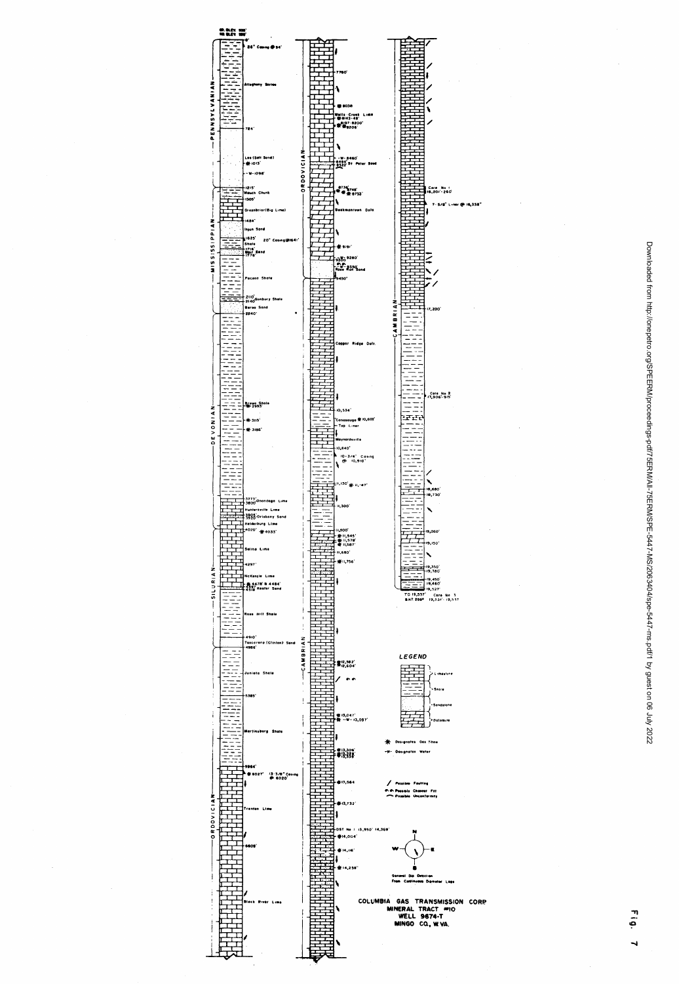

Downloaded from http://onepetro.org/SPEERM/proceedings-pdf/75ERM/AIL76ERM/SPE-5447-MS/2063404/spe-5447-ms.pdf/1 by guest on 06 July 2022 Downloaded from http://onepetro.org/SPEERM/proceedings-pdf/75ERM/All-75ERM/SPE-5447-MS/2063404/spe-5447-ms.pdf/1 by guest on 06 July 2022

Fig. 7